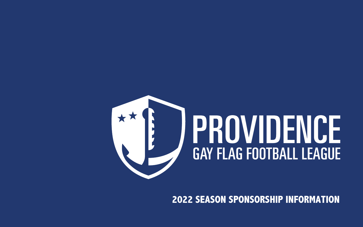#### **2022 SEASON SPONSORSHIP INFORMATION**



# PROVIDENCE GAY FLAG FOOTBALL LEAGUE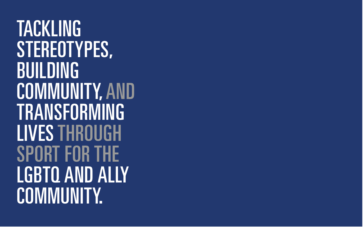TACKLING STEREOTYPES, BUILDING COMMUNITY, AND TRANSFORMING LIVESTHROUGH SPORT FOR THE LGBTQ AND ALLY COMMUNITY.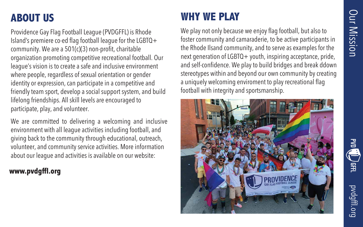pvdgffl.org

#### **ABOUT US**

Providence Gay Flag Football League (PVDGFFL) is Rhode Island's premiere co-ed flag football league for the LGBTQ+ community. We are a 501(c)(3) non-profit, charitable organization promoting competitive recreational football. Our league's vision is to create a safe and inclusive environment where people, regardless of sexual orientation or gender identity or expression, can participate in a competitive and friendly team sport, develop a social support system, and build lifelong friendships. All skill levels are encouraged to participate, play, and volunteer.

We are committed to delivering a welcoming and inclusive environment with all league activities including football, and giving back to the community through educational, outreach, volunteer, and community service activities. More information about our league and activities is available on our website:

#### www.pvdgffl.org

We play not only because we enjoy flag football, but also to foster community and camaraderie, to be active participants in the Rhode Ilsand community, and to serve as examples for the next generation of LGBTQ+ youth, inspiring acceptance, pride, and self-confidence. We play to build bridges and break ddown stereotypes within and beyond our own community by creating a uniquely welcoming enviroment to play recreational flag football with integrity and sportsmanship.





#### **WHY WE PLAY**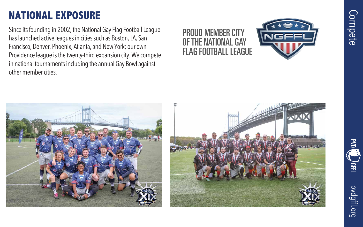# Compete





#### **NATIONAL EXPOSURE**

Since its founding in 2002, the National Gay Flag Football League has launched active leagues in cities such as Boston, LA, San Francisco, Denver, Phoenix, Atlanta, and New York; our own Providence league is the twenty-third expansion city. We compete in national tournaments including the annual Gay Bowl against other member cities.

#### PROUD MEMBER CITY OF THE NATIONAL GAY FLAG FOOTBALL LEAGUE





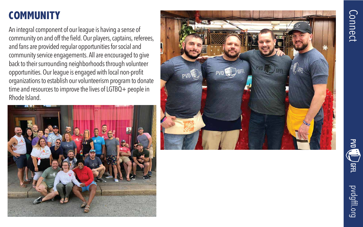#### **COMMUNITY**

An integral component of our leagu e is having a sense of community on and off the field. Our players, captains, referees, and fans are provided regular opportunities for social and community service engagements. All are encouraged to give back to their surrounding neighborhoods through volunteer<br>opportunities. Our league is engaged with local non-profit<br>organizations to establish our volunteerism program to donate<br>time and resources to improve the lives of Rh ode Island.









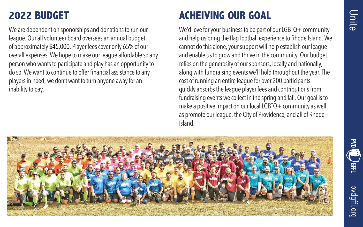



pvdgffl.org

#### **2022 BUDGET**

We are dependent on sponorships and donations to run our league. Our all volunteer board oversees an annual budget of approximately \$45,000. Player fees cover only 65% of our overall expenses. We hope to make our league affordable so any person who wants to participate and play has an opportunity to do so. We want to continue to offer financial assistance to any players in need; we don't want to turn anyone away for an inability to pay.

#### **ACHEIVING OUR GOAL**

We'd love for your business to be part of our LGBTQ+ community and help us bring the flag football experience to Rhode Island. We cannot do this alone, your support will help establish our league and enable us to grow and thrive in the community. Our budget relies on the generosity of our sponsors, locally and nationally, along with fundraising events we'll hold throughout the year. The cost of running an entire league for over 200 participants quickly absorbs the league player fees and contributions from fundraising events we collect in the spring and fall. Our goal is to make a positive impact on our local LGBTQ + community as well as promote our league, the City of Providence, and all of Rhode Island.



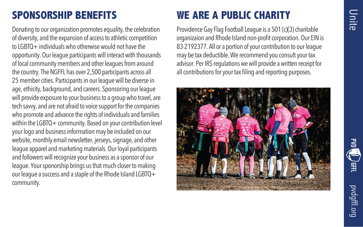





#### **SPONSORSHIP BENEFITS**

Donating to our organization promotes equality, the celebration of diversity, and the expansion of access to athletic competition to LGBTQ+ individuals who otherwise would not have the opportunity. Our league participants will interact with thousands of local community members and other leagues from around the country. The NGFFL has over 2,500 participants across all 25 member cities. Participants in our league will be diverse in age, ethicity, background, and careers. Sponsoring our league will provide exposure to your business to a group who travel, are tech savvy, and are not afraid to voice support for the companies who promote and advance the rights of individuals and families within the LGBTQ+ community. Based on your contribution level your logo and business information may be included on our website, monthly email newsletter, jerseys, signage, and other league apparel and marketing materials. Our loyal participants and followers will recognize your business as a sponsor of our league. Your sponorship brings us that much closer to making our league a success and a staple of the Rhode Island LGBTQ+ community.

#### **WE ARE A PUBLIC CHARITY**

Providence Gay Flag Football League is a 501 (c)(3) charitable organizaion and Rhode Island non-profit corporation. Our EIN is 83-2192377. All or a portion of your contribution to our league may be tax deductible. We recommend you consult your tax advisor. Per IRS regulations we will provide a written receipt for all contributions for your tax filing and reporting purposes.

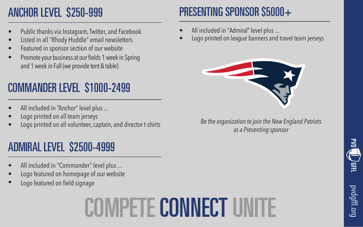

### ANCHOR LEVEL \$250-999

### COMMANDER LEVEL \$1000-2499

- All included in "Anchor" level plus ...
- Logo printed on all team jerseys
- Logo printed on all volunteer, captain, and director t-shirts

### ADMIRAL LEVEL \$2500-4999

- All included in "Commander" level plus ...
- Logo featured on homepage of our website
- Logo featured on field signage

# PRESENTING SPONSOR \$5000+

- All included in "Admiral" level plus ...
- 



- Public thanks via Instagram, Twitter, and Facebook
- Listed in all "Rhody Huddle" email newsletters
- Featured in sponsor section of our website
- Promote your business at our fields 1 week in Spring and 1 week in Fall (we provide tent & table) •

• Logo printed on league banners and travel team jerseys



*Be the organization to join the New England Patriots as a Presenting sponsor* 

# COIMPETE CONNECT UN